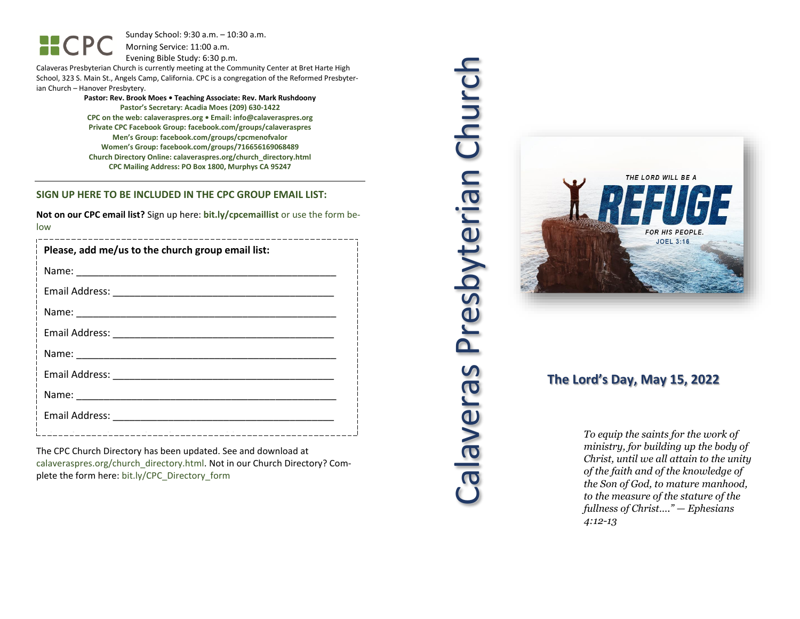**HCPC** 

Sunday School: 9: 3 0 a.m. – 10:30 a.m. Morning Service: 1 1 :00 a.m.

Evening Bible Study: 6: 30 p.m.

Calaveras Presbyterian Church is currently meeting at the Community Center at Bret Harte High School, 323 S. Main St., Angels Camp, California. CPC is a congregation of the Reformed Presbyterian Church – Hanover Presbytery.

> **Pastor: Rev. Brook Moes • Teaching Associate: Rev. Mark Rushdoony Pastor's Secretary: Acadia Moes (209) 630 -1422 CPC on the web: calaveraspres.org • Email: [info@calaveraspres.org](mailto:info@calaveraspres.org) Private CPC Facebook Group: facebook.com/groups/calaveraspres Men's Group: facebook.com/groups/cpcmenofvalor Women's Group: facebook.com/groups/716656169068489 Church Directory Online: calaveraspres.org/church \_directory.html CPC Mailing Address: PO Box 1800, Murphys CA 95247**

### **SIGN UP HERE TO BE INCLUDED IN THE CPC GROUP EMAIL LIST:**

**Not on our CPC email list?** Sign up here: **bit.ly/cpcemaillist** or use the form below

| Please, add me/us to the church group email list: |
|---------------------------------------------------|
|                                                   |
|                                                   |
|                                                   |
|                                                   |
|                                                   |
|                                                   |
|                                                   |
|                                                   |
|                                                   |

The CPC Church Directory has been updated. See and download at calaveraspres.org/church\_directory.html. Not in our Church Directory? Complete the form here: bit.ly/CPC\_Directory\_form

# Calaveras Presbyterian Church Calaveras Presbyterian Church



## **The Lord's Day, May 15, 202 2**

*To equip the saints for the work of ministry, for building up the body of Christ, until we all attain to the unity of the faith and of the knowledge of the Son of God, to mature manhood, to the measure of the stature of the fullness of Christ…." — Ephesians 4:12 -13*